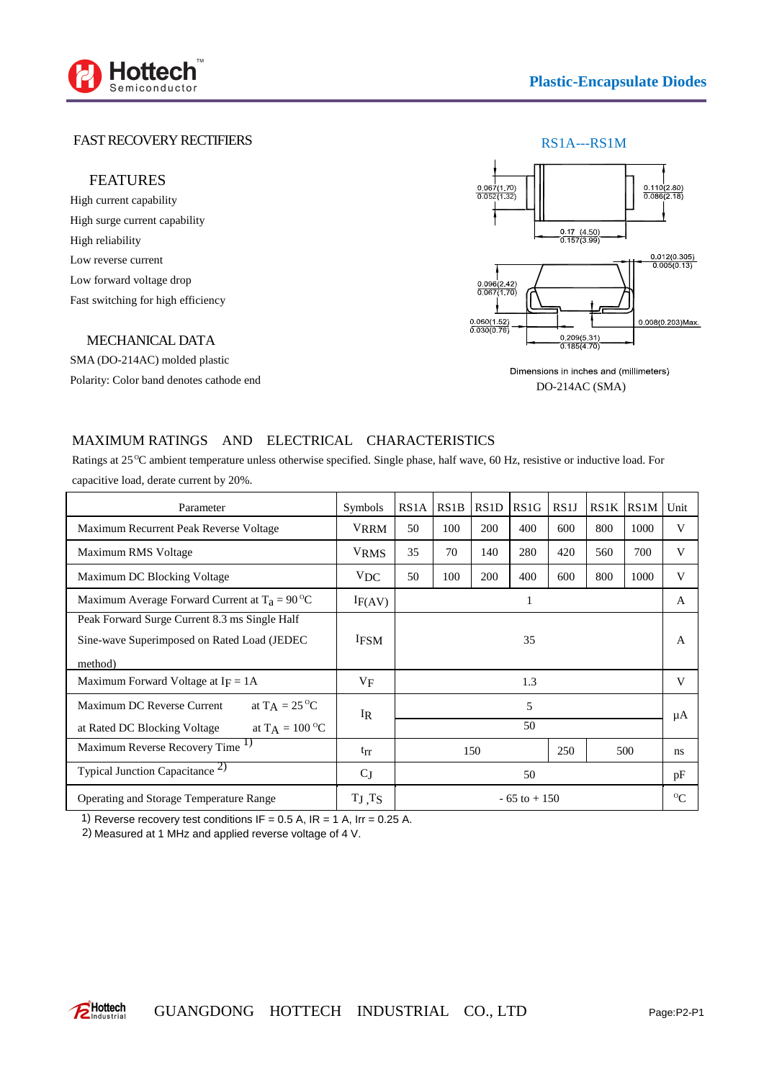

## FAST RECOVERY RECTIFIERS

### FEATURES

High current capability High surge current capability High reliability Low reverse current Low forward voltage drop Fast switching for high efficiency

#### MECHANICAL DATA

SMA (DO-214AC) molded plastic Polarity: Color band denotes cathode end



Dimensions in inches and (millimeters) DO-214AC (SMA)

### MAXIMUM RATINGS AND ELECTRICAL CHARACTERISTICS

Ratings at 25 °C ambient temperature unless otherwise specified. Single phase, half wave, 60 Hz, resistive or inductive load. For capacitive load, derate current by 20%.

| Parameter                                                                                                | Symbols       | RS <sub>1</sub> A | RS1B | RS1D | RS <sub>1</sub> G | RS1J | RS1K | RS <sub>1</sub> M | Unit         |
|----------------------------------------------------------------------------------------------------------|---------------|-------------------|------|------|-------------------|------|------|-------------------|--------------|
| Maximum Recurrent Peak Reverse Voltage                                                                   | <b>VRRM</b>   | 50                | 100  | 200  | 400               | 600  | 800  | 1000              | V            |
| Maximum RMS Voltage                                                                                      | <b>VRMS</b>   | 35                | 70   | 140  | 280               | 420  | 560  | 700               | V            |
| Maximum DC Blocking Voltage                                                                              | <b>VDC</b>    | 50                | 100  | 200  | 400               | 600  | 800  | 1000              | V            |
| Maximum Average Forward Current at $T_a = 90^{\circ}C$                                                   | IF(AV)        |                   |      |      |                   |      |      |                   | $\mathsf{A}$ |
| Peak Forward Surge Current 8.3 ms Single Half<br>Sine-wave Superimposed on Rated Load (JEDEC)<br>method) | <b>IFSM</b>   | 35                |      |      |                   |      |      |                   | A            |
| Maximum Forward Voltage at $I_F = 1A$                                                                    | $V_{\rm F}$   | 1.3               |      |      |                   |      |      |                   | V            |
| at $TA = 25\degree C$<br>Maximum DC Reverse Current<br>at $T_A = 100 °C$<br>at Rated DC Blocking Voltage | $_{\rm IR}$   | 5<br>50           |      |      |                   |      |      |                   | μA           |
| Maximum Reverse Recovery Time <sup>1)</sup>                                                              | $t_{rr}$      |                   |      | 150  |                   | 250  |      | 500               | ns           |
| Typical Junction Capacitance <sup>2</sup>                                                                | $C_J$         |                   | 50   |      |                   |      |      |                   |              |
| Operating and Storage Temperature Range                                                                  | $T_J$ , $T_S$ | $-65$ to $+150$   |      |      |                   |      |      |                   | $^{0}C$      |

1) Reverse recovery test conditions IF =  $0.5$  A, IR =  $1$  A, Irr =  $0.25$  A.

2) Measured at 1 MHz and applied reverse voltage of 4 V.